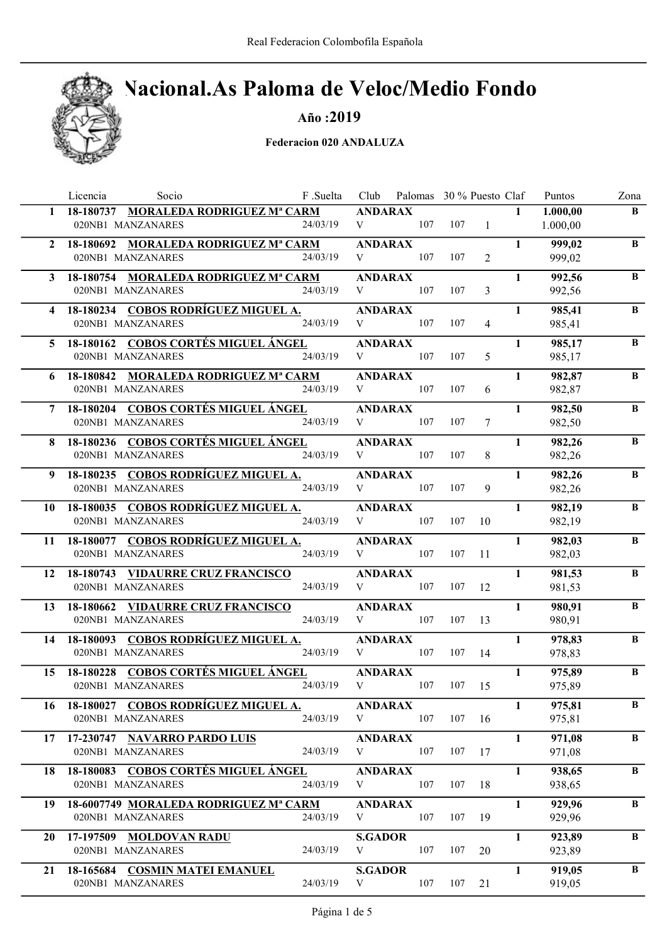## Nacional.As Paloma de Veloc/Medio Fondo

Año :2019

|              | Socio<br>Licencia                                         | F .Suelta |                     | Club Palomas 30 % Puesto Claf |     |                |              | Puntos           | Zona     |
|--------------|-----------------------------------------------------------|-----------|---------------------|-------------------------------|-----|----------------|--------------|------------------|----------|
| $\mathbf{1}$ | 18-180737 MORALEDA RODRIGUEZ Mª CARM                      |           | <b>ANDARAX</b>      |                               |     |                | $\mathbf{1}$ | 1.000,00         | B        |
|              | 020NB1 MANZANARES                                         | 24/03/19  | V                   | 107                           | 107 | $\frac{1}{2}$  |              | 1.000,00         |          |
| $\mathbf{2}$ | 18-180692 MORALEDA RODRIGUEZ Mª CARM                      |           | <b>ANDARAX</b>      |                               |     |                | $\mathbf{1}$ | 999,02           | $\bf{B}$ |
|              | 020NB1 MANZANARES                                         | 24/03/19  | V                   | 107                           | 107 | $\overline{2}$ |              | 999,02           |          |
|              | 3 18-180754 MORALEDA RODRIGUEZ Mª CARM                    |           | <b>ANDARAX</b>      |                               |     |                | $\mathbf{1}$ | 992,56           | B        |
|              | 020NB1 MANZANARES                                         | 24/03/19  | V                   | 107                           | 107 | 3              |              | 992,56           |          |
| 4            | 18-180234 COBOS RODRÍGUEZ MIGUEL A.                       |           | <b>ANDARAX</b>      |                               |     |                | $\mathbf{1}$ | 985,41           | $\bf{B}$ |
|              | 020NB1 MANZANARES                                         | 24/03/19  | V                   | 107                           | 107 | $\overline{4}$ |              | 985,41           |          |
|              | 5 18-180162 COBOS CORTÉS MIGUEL ÁNGEL                     |           | <b>ANDARAX</b>      |                               |     |                | $\mathbf{1}$ | 985,17           | B        |
|              | 020NB1 MANZANARES                                         | 24/03/19  | V                   | 107                           | 107 | 5              |              | 985,17           |          |
|              |                                                           |           |                     |                               |     |                |              |                  |          |
| 6            | 18-180842 MORALEDA RODRIGUEZ Mª CARM<br>020NB1 MANZANARES | 24/03/19  | <b>ANDARAX</b><br>V | 107                           | 107 | 6              | $\mathbf{1}$ | 982,87<br>982,87 | B        |
|              |                                                           |           |                     |                               |     |                |              |                  |          |
|              | 18-180204 COBOS CORTÉS MIGUEL ÁNGEL                       |           | <b>ANDARAX</b>      |                               |     |                | $\mathbf{1}$ | 982,50           | B        |
|              | 020NB1 MANZANARES                                         | 24/03/19  | V                   | 107                           | 107 | 7              |              | 982,50           |          |
| 8.           | 18-180236 COBOS CORTÉS MIGUEL ÁNGEL                       |           | <b>ANDARAX</b>      |                               |     |                | $\mathbf{1}$ | 982,26           | $\bf{B}$ |
|              | 020NB1 MANZANARES                                         | 24/03/19  | V                   | 107                           | 107 | 8              |              | 982,26           |          |
| 9            | 18-180235 COBOS RODRÍGUEZ MIGUEL A.                       |           | <b>ANDARAX</b>      |                               |     |                | $\mathbf{1}$ | 982,26           | $\bf{B}$ |
|              | 020NB1 MANZANARES                                         | 24/03/19  | V                   | 107                           | 107 | 9              |              | 982,26           |          |
|              | 10 18-180035 COBOS RODRÍGUEZ MIGUEL A.                    |           | <b>ANDARAX</b>      |                               |     |                | $\mathbf{1}$ | 982,19           | $\bf{B}$ |
|              | 020NB1 MANZANARES                                         | 24/03/19  | V                   | 107                           | 107 | 10             |              | 982,19           |          |
|              | 11 18-180077 COBOS RODRÍGUEZ MIGUEL A.                    |           | <b>ANDARAX</b>      |                               |     |                | $\mathbf{1}$ | 982,03           | B        |
|              | 020NB1 MANZANARES                                         | 24/03/19  | V                   | 107                           | 107 | 11             |              | 982,03           |          |
|              | 12 18-180743 VIDAURRE CRUZ FRANCISCO                      |           | <b>ANDARAX</b>      |                               |     |                | $\mathbf{1}$ | 981,53           | B        |
|              | 020NB1 MANZANARES                                         | 24/03/19  | V                   | 107                           | 107 | 12             |              | 981,53           |          |
|              |                                                           |           |                     |                               |     |                | $\mathbf{1}$ |                  | B        |
| 13           | 18-180662 VIDAURRE CRUZ FRANCISCO<br>020NB1 MANZANARES    | 24/03/19  | <b>ANDARAX</b><br>V | 107                           | 107 | 13             |              | 980,91<br>980,91 |          |
|              |                                                           |           |                     |                               |     |                |              |                  |          |
| 14           | 18-180093 COBOS RODRÍGUEZ MIGUEL A.<br>020NB1 MANZANARES  | 24/03/19  | <b>ANDARAX</b><br>V | 107                           |     | 107 14         | $\mathbf{1}$ | 978,83           | B        |
|              |                                                           |           |                     |                               |     |                |              | 978,83           |          |
| 15           | 18-180228 COBOS CORTÉS MIGUEL ÁNGEL                       |           | <b>ANDARAX</b>      |                               |     |                | $\mathbf{1}$ | 975,89           | $\bf{B}$ |
|              | 020NB1 MANZANARES                                         | 24/03/19  | V                   | 107                           | 107 | 15             |              | 975,89           |          |
| 16           | 18-180027 COBOS RODRÍGUEZ MIGUEL A.                       |           | <b>ANDARAX</b>      |                               |     |                | $\mathbf{1}$ | 975,81           | B        |
|              | 020NB1 MANZANARES                                         | 24/03/19  | V                   | 107                           | 107 | 16             |              | 975,81           |          |
| 17           | 17-230747 NAVARRO PARDO LUIS                              |           | <b>ANDARAX</b>      |                               |     |                | $\mathbf{1}$ | 971,08           | B        |
|              | 020NB1 MANZANARES                                         | 24/03/19  | V                   | 107                           | 107 | 17             |              | 971,08           |          |
| 18           | 18-180083 COBOS CORTÉS MIGUEL ÁNGEL                       |           | <b>ANDARAX</b>      |                               |     |                | $\mathbf{1}$ | 938,65           | B        |
|              | 020NB1 MANZANARES                                         | 24/03/19  | V                   | 107                           | 107 | 18             |              | 938,65           |          |
| 19           | 18-6007749 MORALEDA RODRIGUEZ Mª CARM                     |           | <b>ANDARAX</b>      |                               |     |                | $\mathbf{1}$ | 929,96           | B        |
|              | 020NB1 MANZANARES                                         | 24/03/19  | V                   | 107                           | 107 | 19             |              | 929,96           |          |
| 20           | 17-197509 MOLDOVAN RADU                                   |           | <b>S.GADOR</b>      |                               |     |                | $\mathbf{1}$ | 923,89           | B        |
|              | 020NB1 MANZANARES                                         | 24/03/19  | V                   | 107                           | 107 | 20             |              | 923,89           |          |
|              |                                                           |           |                     |                               |     |                |              |                  |          |
| 21           | 18-165684 COSMIN MATEI EMANUEL                            |           | <b>S.GADOR</b>      |                               |     |                | $\mathbf{1}$ | 919,05           | B        |
|              | 020NB1 MANZANARES                                         | 24/03/19  | V                   | 107                           | 107 | 21             |              | 919,05           |          |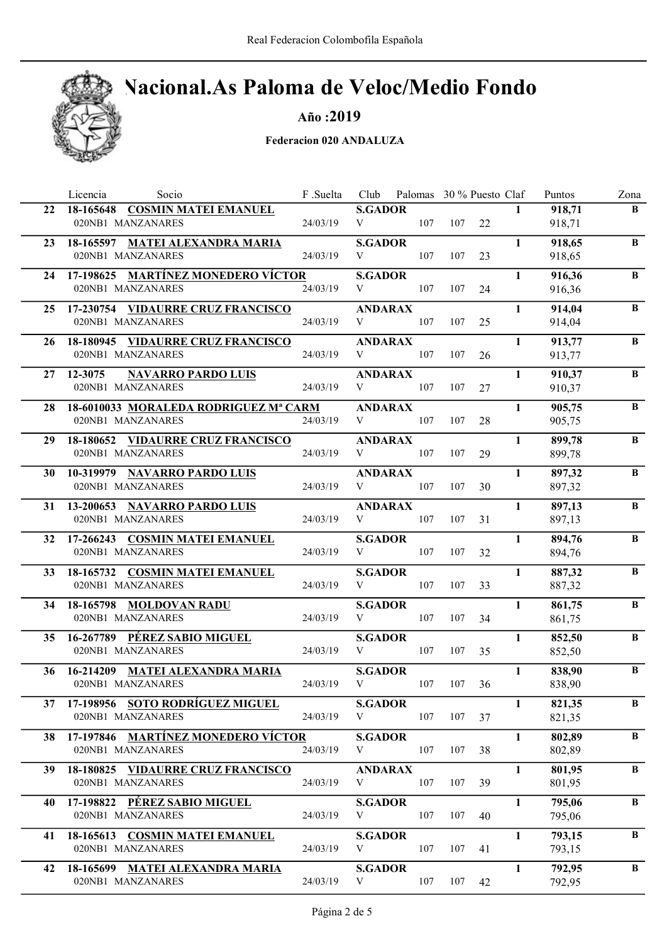## Nacional.As Paloma de Veloc/Medio Fondo

Año :2019

|    | Socio<br>Licencia                                          | F .Suelta | Club                | Palomas 30 % Puesto Claf |     |    |              | Puntos              | Zona         |
|----|------------------------------------------------------------|-----------|---------------------|--------------------------|-----|----|--------------|---------------------|--------------|
| 22 | 18-165648 COSMIN MATEI EMANUEL                             |           | <b>S.GADOR</b>      |                          |     |    | $\mathbf{1}$ | 918,71              | $\bf{B}$     |
|    | 020NB1 MANZANARES                                          | 24/03/19  | V                   | 107                      | 107 | 22 |              | 918,71              |              |
| 23 | 18-165597 MATEI ALEXANDRA MARIA                            |           | <b>S.GADOR</b>      |                          |     |    | $\mathbf{1}$ | 918,65              | $\bf{B}$     |
|    | 020NB1 MANZANARES                                          | 24/03/19  | V                   | 107                      | 107 | 23 |              | 918,65              |              |
| 24 | 17-198625 MARTÍNEZ MONEDERO VÍCTOR                         |           | <b>S.GADOR</b>      |                          |     |    | $\mathbf{1}$ | 916,36              | B            |
|    | 020NB1 MANZANARES                                          | 24/03/19  | V                   | 107                      | 107 | 24 |              | 916,36              |              |
|    | 25 17-230754 VIDAURRE CRUZ FRANCISCO                       |           | <b>ANDARAX</b>      |                          |     |    | $\mathbf{1}$ | 914,04              | B            |
|    | 020NB1 MANZANARES                                          | 24/03/19  | V                   | 107                      | 107 | 25 |              | 914,04              |              |
| 26 | 18-180945 VIDAURRE CRUZ FRANCISCO                          |           | <b>ANDARAX</b>      |                          |     |    | $\mathbf{1}$ | 913,77              | B            |
|    | 020NB1 MANZANARES                                          | 24/03/19  | V                   | 107                      | 107 | 26 |              | 913,77              |              |
| 27 | 12-3075<br><b>NAVARRO PARDO LUIS</b>                       |           | <b>ANDARAX</b>      |                          |     |    | $\mathbf{1}$ | 910,37              | B            |
|    | 020NB1 MANZANARES                                          | 24/03/19  | V                   | 107                      | 107 | 27 |              | 910,37              |              |
|    |                                                            |           |                     |                          |     |    | $\mathbf{1}$ |                     | B            |
| 28 | 18-6010033 MORALEDA RODRIGUEZ Mª CARM<br>020NB1 MANZANARES | 24/03/19  | <b>ANDARAX</b><br>V | 107                      | 107 | 28 |              | 905,75<br>905,75    |              |
|    |                                                            |           |                     |                          |     |    |              |                     |              |
| 29 | 18-180652 VIDAURRE CRUZ FRANCISCO                          | 24/03/19  | <b>ANDARAX</b>      |                          |     |    | $\mathbf{1}$ | 899,78              | $\bf{B}$     |
|    | 020NB1 MANZANARES                                          |           | V                   | 107                      | 107 | 29 |              | 899,78              |              |
| 30 | 10-319979 NAVARRO PARDO LUIS                               |           | <b>ANDARAX</b>      |                          |     |    | $\mathbf{1}$ | 897,32              | B            |
|    | 020NB1 MANZANARES                                          | 24/03/19  | V                   | 107                      | 107 | 30 |              | 897,32              |              |
| 31 | 13-200653 NAVARRO PARDO LUIS                               |           | <b>ANDARAX</b>      |                          |     |    | $\mathbf{1}$ | $\overline{897,13}$ | $\, {\bf B}$ |
|    | 020NB1 MANZANARES                                          | 24/03/19  | V                   | 107                      | 107 | 31 |              | 897,13              |              |
|    | 32 17-266243 COSMIN MATEI EMANUEL                          |           | <b>S.GADOR</b>      |                          |     |    | $\mathbf{1}$ | 894,76              | B            |
|    | 020NB1 MANZANARES                                          | 24/03/19  | V                   | 107                      | 107 | 32 |              | 894,76              |              |
| 33 | 18-165732 COSMIN MATEI EMANUEL                             |           | <b>S.GADOR</b>      |                          |     |    | $\mathbf{1}$ | 887,32              | B            |
|    | 020NB1 MANZANARES                                          | 24/03/19  | V                   | 107                      | 107 | 33 |              | 887,32              |              |
| 34 | 18-165798 MOLDOVAN RADU                                    |           | <b>S.GADOR</b>      |                          |     |    | $\mathbf{1}$ | 861,75              | B            |
|    | 020NB1 MANZANARES                                          | 24/03/19  | V                   | 107                      | 107 | 34 |              | 861,75              |              |
| 35 | 16-267789 PÉREZ SABIO MIGUEL                               |           | <b>S.GADOR</b>      |                          |     |    | 1            | 852,50              | B            |
|    | 020NB1 MANZANARES                                          | 24/03/19  | V                   | 107                      | 107 | 35 |              | 852,50              |              |
|    | 16-214209 MATEI ALEXANDRA MARIA                            |           | <b>S.GADOR</b>      |                          |     |    | $\mathbf{1}$ | 838,90              | B            |
| 36 | 020NB1 MANZANARES                                          | 24/03/19  | V                   | 107                      | 107 | 36 |              | 838,90              |              |
|    |                                                            |           |                     |                          |     |    |              |                     |              |
|    | 37 17-198956 SOTO RODRÍGUEZ MIGUEL<br>020NB1 MANZANARES    | 24/03/19  | <b>S.GADOR</b><br>V | 107                      | 107 | 37 | $\mathbf{1}$ | 821,35<br>821,35    | B            |
|    |                                                            |           |                     |                          |     |    |              |                     |              |
| 38 | 17-197846 MARTÍNEZ MONEDERO VÍCTOR                         |           | <b>S.GADOR</b>      |                          |     |    | $\mathbf{1}$ | 802,89              | B            |
|    | 020NB1 MANZANARES                                          | 24/03/19  | V                   | 107                      | 107 | 38 |              | 802,89              |              |
| 39 | 18-180825 VIDAURRE CRUZ FRANCISCO                          |           | <b>ANDARAX</b>      |                          |     |    | $\mathbf{1}$ | 801,95              | B            |
|    | 020NB1 MANZANARES                                          | 24/03/19  | V                   | 107                      | 107 | 39 |              | 801,95              |              |
| 40 | 17-198822 PÉREZ SABIO MIGUEL                               |           | <b>S.GADOR</b>      |                          |     |    | $\mathbf{1}$ | 795,06              | B            |
|    | 020NB1 MANZANARES                                          | 24/03/19  | V                   | 107                      | 107 | 40 |              | 795,06              |              |
| 41 | 18-165613 COSMIN MATEI EMANUEL                             |           | <b>S.GADOR</b>      |                          |     |    | 1            | 793,15              | B            |
|    | 020NB1 MANZANARES                                          | 24/03/19  | V                   | 107                      | 107 | 41 |              | 793,15              |              |
| 42 | 18-165699 MATEI ALEXANDRA MARIA                            |           | <b>S.GADOR</b>      |                          |     |    | $\mathbf{1}$ | 792,95              | B            |
|    | 020NB1 MANZANARES                                          | 24/03/19  | V                   | 107                      | 107 | 42 |              | 792,95              |              |
|    |                                                            |           |                     |                          |     |    |              |                     |              |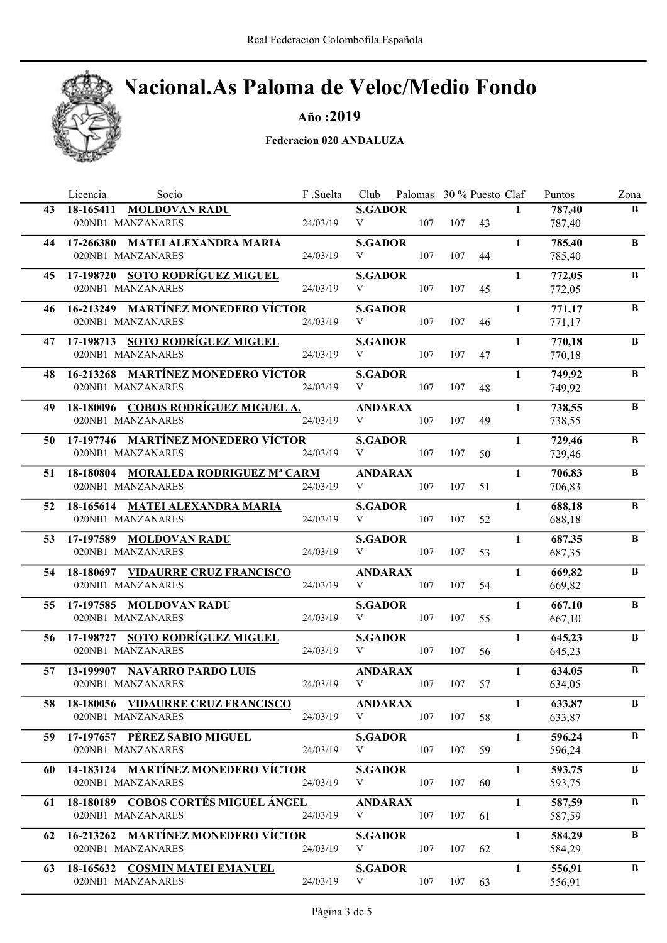

Año :2019

|    | Licencia<br>Socio                                         | F .Suelta | Club                | Palomas 30 % Puesto Claf |     |    |              | Puntos           | Zona     |
|----|-----------------------------------------------------------|-----------|---------------------|--------------------------|-----|----|--------------|------------------|----------|
| 43 | 18-165411 MOLDOVAN RADU                                   |           | <b>S.GADOR</b>      |                          |     |    | $\mathbf{1}$ | 787,40           | B        |
|    | 020NB1 MANZANARES                                         | 24/03/19  | V                   | 107                      | 107 | 43 |              | 787,40           |          |
| 44 | 17-266380 MATEI ALEXANDRA MARIA                           |           | <b>S.GADOR</b>      |                          |     |    | 1            | 785,40           | $\bf{B}$ |
|    | 020NB1 MANZANARES                                         | 24/03/19  | V                   | 107                      | 107 | 44 |              | 785,40           |          |
| 45 | 17-198720 SOTO RODRÍGUEZ MIGUEL                           |           | <b>S.GADOR</b>      |                          |     |    | $\mathbf{1}$ | 772,05           | B        |
|    | 020NB1 MANZANARES                                         | 24/03/19  | V                   | 107                      | 107 | 45 |              | 772,05           |          |
| 46 | 16-213249 MARTÍNEZ MONEDERO VÍCTOR                        |           | <b>S.GADOR</b>      |                          |     |    | $\mathbf{1}$ | 771,17           | $\bf{B}$ |
|    | 020NB1 MANZANARES                                         | 24/03/19  | V                   | 107                      | 107 | 46 |              | 771,17           |          |
|    |                                                           |           |                     |                          |     |    |              |                  |          |
| 47 | 17-198713 SOTO RODRÍGUEZ MIGUEL                           |           | <b>S.GADOR</b>      |                          |     |    | $\mathbf{1}$ | 770,18           | B        |
|    | 020NB1 MANZANARES                                         | 24/03/19  | V                   | 107                      | 107 | 47 |              | 770,18           |          |
| 48 | 16-213268 MARTÍNEZ MONEDERO VÍCTOR                        |           | <b>S.GADOR</b>      |                          |     |    | $\mathbf{1}$ | 749,92           | $\bf{B}$ |
|    | 020NB1 MANZANARES                                         | 24/03/19  | V                   | 107                      | 107 | 48 |              | 749,92           |          |
| 49 | 18-180096 COBOS RODRÍGUEZ MIGUEL A.                       |           | <b>ANDARAX</b>      |                          |     |    | $\mathbf{1}$ | 738,55           | B        |
|    | 020NB1 MANZANARES                                         | 24/03/19  | V                   | 107                      | 107 | 49 |              | 738,55           |          |
| 50 | 17-197746 MARTÍNEZ MONEDERO VÍCTOR                        |           | <b>S.GADOR</b>      |                          |     |    | $\mathbf{1}$ | 729,46           | $\bf{B}$ |
|    | 020NB1 MANZANARES                                         | 24/03/19  | V                   | 107                      | 107 | 50 |              | 729,46           |          |
|    |                                                           |           |                     |                          |     |    |              |                  |          |
| 51 | 18-180804 MORALEDA RODRIGUEZ Mª CARM<br>020NB1 MANZANARES | 24/03/19  | <b>ANDARAX</b><br>V | 107                      | 107 | 51 | $\mathbf{1}$ | 706,83<br>706,83 | $\bf{B}$ |
|    |                                                           |           |                     |                          |     |    |              |                  |          |
| 52 | 18-165614 MATEI ALEXANDRA MARIA                           |           | <b>S.GADOR</b>      |                          |     |    | $\mathbf{1}$ | 688,18           | $\bf{B}$ |
|    | 020NB1 MANZANARES                                         | 24/03/19  | V                   | 107                      | 107 | 52 |              | 688,18           |          |
| 53 | 17-197589 MOLDOVAN RADU                                   |           | <b>S.GADOR</b>      |                          |     |    | $\mathbf{1}$ | 687,35           | B        |
|    | 020NB1 MANZANARES                                         | 24/03/19  | V                   | 107                      | 107 | 53 |              | 687,35           |          |
| 54 | 18-180697 VIDAURRE CRUZ FRANCISCO                         |           | <b>ANDARAX</b>      |                          |     |    | 1            | 669,82           | B        |
|    | 020NB1 MANZANARES                                         | 24/03/19  | V                   | 107                      | 107 | 54 |              | 669,82           |          |
| 55 | 17-197585 MOLDOVAN RADU                                   |           | <b>S.GADOR</b>      |                          |     |    | 1            | 667,10           | B        |
|    | 020NB1 MANZANARES                                         | 24/03/19  | V                   | 107                      | 107 | 55 |              | 667,10           |          |
|    |                                                           |           |                     |                          |     |    |              |                  |          |
| 56 | 17-198727 SOTO RODRÍGUEZ MIGUEL                           |           | <b>S.GADOR</b>      |                          |     |    | $\mathbf{1}$ | 645,23           | B        |
|    | 020NB1 MANZANARES                                         | 24/03/19  | V                   | 107                      | 107 | 56 |              | 645,23           |          |
| 57 | 13-199907 NAVARRO PARDO LUIS                              |           | <b>ANDARAX</b>      |                          |     |    | $\mathbf{1}$ | 634,05           | $\bf{B}$ |
|    | 020NB1 MANZANARES                                         | 24/03/19  | V                   | 107                      | 107 | 57 |              | 634,05           |          |
| 58 | 18-180056 VIDAURRE CRUZ FRANCISCO                         |           | <b>ANDARAX</b>      |                          |     |    | 1            | 633,87           | B        |
|    | 020NB1 MANZANARES                                         | 24/03/19  | V                   | 107                      | 107 | 58 |              | 633,87           |          |
| 59 | 17-197657 PÉREZ SABIO MIGUEL                              |           | <b>S.GADOR</b>      |                          |     |    | $\mathbf{1}$ | 596,24           | B        |
|    | 020NB1 MANZANARES                                         | 24/03/19  | V                   | 107                      | 107 | 59 |              | 596,24           |          |
| 60 | 14-183124 MARTÍNEZ MONEDERO VÍCTOR                        |           | <b>S.GADOR</b>      |                          |     |    | $\mathbf{1}$ | 593,75           | B        |
|    | 020NB1 MANZANARES                                         | 24/03/19  | V                   | 107                      | 107 | 60 |              | 593,75           |          |
|    |                                                           |           |                     |                          |     |    |              |                  |          |
| 61 | 18-180189 COBOS CORTÉS MIGUEL ÁNGEL                       |           | <b>ANDARAX</b>      |                          |     |    | $\mathbf{1}$ | 587,59           | B        |
|    | 020NB1 MANZANARES                                         | 24/03/19  | V                   | 107                      | 107 | 61 |              | 587,59           |          |
| 62 | 16-213262 MARTÍNEZ MONEDERO VÍCTOR                        |           | <b>S.GADOR</b>      |                          |     |    | 1            | 584,29           | B        |
|    | 020NB1 MANZANARES                                         | 24/03/19  | V                   | 107                      | 107 | 62 |              | 584,29           |          |
| 63 | 18-165632 COSMIN MATEI EMANUEL                            |           | <b>S.GADOR</b>      |                          |     |    | $\mathbf{1}$ | 556,91           | B        |
|    | 020NB1 MANZANARES                                         | 24/03/19  | V                   | 107                      | 107 | 63 |              | 556,91           |          |
|    |                                                           |           |                     |                          |     |    |              |                  |          |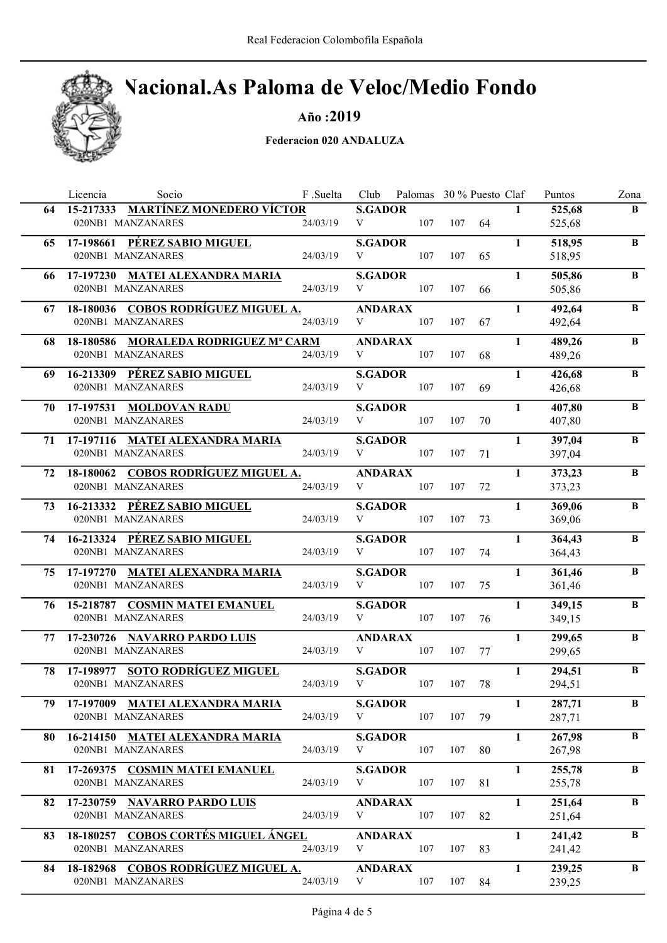## Nacional.As Paloma de Veloc/Medio Fondo

Año :2019

|    | Licencia<br>Socio                                         | F .Suelta | Club                | Palomas 30 % Puesto Claf |     |    |              | Puntos           | Zona         |
|----|-----------------------------------------------------------|-----------|---------------------|--------------------------|-----|----|--------------|------------------|--------------|
| 64 | 15-217333 MARTÍNEZ MONEDERO VÍCTOR                        |           | <b>S.GADOR</b>      |                          |     |    | $\mathbf{1}$ | 525,68           | B            |
|    | 020NB1 MANZANARES                                         | 24/03/19  | V                   | 107                      | 107 | 64 |              | 525,68           |              |
| 65 | 17-198661 PÉREZ SABIO MIGUEL                              |           | <b>S.GADOR</b>      |                          |     |    | $\mathbf{1}$ | 518,95           | $\bf{B}$     |
|    | 020NB1 MANZANARES                                         | 24/03/19  | V                   | 107                      | 107 | 65 |              | 518,95           |              |
| 66 | 17-197230 MATEI ALEXANDRA MARIA                           |           | <b>S.GADOR</b>      |                          |     |    | $\mathbf{1}$ | 505,86           | B            |
|    | 020NB1 MANZANARES                                         | 24/03/19  | V                   | 107                      | 107 | 66 |              | 505,86           |              |
| 67 | 18-180036 COBOS RODRÍGUEZ MIGUEL A.                       |           | <b>ANDARAX</b>      |                          |     |    | $\mathbf{1}$ | 492,64           | $\bf{B}$     |
|    | 020NB1 MANZANARES                                         | 24/03/19  | V                   | 107                      | 107 | 67 |              | 492,64           |              |
|    |                                                           |           |                     |                          |     |    |              |                  |              |
| 68 | 18-180586 MORALEDA RODRIGUEZ Mª CARM<br>020NB1 MANZANARES | 24/03/19  | <b>ANDARAX</b><br>V | 107                      | 107 | 68 | $\mathbf{1}$ | 489,26<br>489,26 | B            |
|    |                                                           |           |                     |                          |     |    |              |                  |              |
| 69 | 16-213309 PÉREZ SABIO MIGUEL                              |           | <b>S.GADOR</b>      |                          |     |    | $\mathbf{1}$ | 426,68           | B            |
|    | 020NB1 MANZANARES                                         | 24/03/19  | V                   | 107                      | 107 | 69 |              | 426,68           |              |
| 70 | 17-197531 MOLDOVAN RADU                                   |           | <b>S.GADOR</b>      |                          |     |    | $\mathbf{1}$ | 407,80           | B            |
|    | 020NB1 MANZANARES                                         | 24/03/19  | V                   | 107                      | 107 | 70 |              | 407,80           |              |
| 71 | 17-197116 MATEI ALEXANDRA MARIA                           |           | <b>S.GADOR</b>      |                          |     |    | $\mathbf{1}$ | 397,04           | $\, {\bf B}$ |
|    | 020NB1 MANZANARES                                         | 24/03/19  | V                   | 107                      | 107 | 71 |              | 397,04           |              |
| 72 | 18-180062 COBOS RODRÍGUEZ MIGUEL A.                       |           | <b>ANDARAX</b>      |                          |     |    | $\mathbf{1}$ | 373,23           | $\bf{B}$     |
|    | 020NB1 MANZANARES                                         | 24/03/19  | V                   | 107                      | 107 | 72 |              | 373,23           |              |
| 73 | 16-213332 PÉREZ SABIO MIGUEL                              |           | <b>S.GADOR</b>      |                          |     |    | $\mathbf{1}$ | 369,06           | $\, {\bf B}$ |
|    | 020NB1 MANZANARES                                         | 24/03/19  | V                   | 107                      | 107 | 73 |              | 369,06           |              |
|    |                                                           |           |                     |                          |     |    |              |                  |              |
|    | 74 16-213324 PÉREZ SABIO MIGUEL<br>020NB1 MANZANARES      | 24/03/19  | <b>S.GADOR</b><br>V | 107                      | 107 | 74 | $\mathbf{1}$ | 364,43           | B            |
|    |                                                           |           |                     |                          |     |    |              | 364,43           |              |
| 75 | 17-197270 MATEI ALEXANDRA MARIA                           |           | <b>S.GADOR</b>      |                          |     |    | $\mathbf{1}$ | 361,46           | B            |
|    | 020NB1 MANZANARES                                         | 24/03/19  | V                   | 107                      | 107 | 75 |              | 361,46           |              |
| 76 | 15-218787 COSMIN MATEI EMANUEL                            |           | <b>S.GADOR</b>      |                          |     |    | $\mathbf{1}$ | 349,15           | B            |
|    | 020NB1 MANZANARES                                         | 24/03/19  | V                   | 107                      | 107 | 76 |              | 349,15           |              |
| 77 | 17-230726 NAVARRO PARDO LUIS                              |           | <b>ANDARAX</b>      |                          |     |    | $\mathbf{1}$ | 299,65           | B            |
|    | 020NB1 MANZANARES                                         | 24/03/19  | V                   | 107                      | 107 | 77 |              | 299,65           |              |
| 78 | 17-198977 SOTO RODRÍGUEZ MIGUEL                           |           | <b>S.GADOR</b>      |                          |     |    | $\mathbf{1}$ | 294,51           | $\, {\bf B}$ |
|    | 020NB1 MANZANARES                                         | 24/03/19  | V                   | 107                      | 107 | 78 |              | 294,51           |              |
| 79 | 17-197009 MATEI ALEXANDRA MARIA                           |           | <b>S.GADOR</b>      |                          |     |    | $\mathbf{1}$ | 287,71           | B            |
|    | 020NB1 MANZANARES                                         | 24/03/19  | V                   | 107                      | 107 | 79 |              | 287,71           |              |
|    |                                                           |           |                     |                          |     |    |              |                  |              |
| 80 | 16-214150 MATEI ALEXANDRA MARIA                           |           | <b>S.GADOR</b>      |                          |     |    | $\mathbf{1}$ | 267,98           | B            |
|    | 020NB1 MANZANARES                                         | 24/03/19  | V                   | 107                      | 107 | 80 |              | 267,98           |              |
| 81 | 17-269375 COSMIN MATEI EMANUEL                            |           | <b>S.GADOR</b>      |                          |     |    | $\mathbf{1}$ | 255,78           | B            |
|    | 020NB1 MANZANARES                                         | 24/03/19  | V                   | 107                      | 107 | 81 |              | 255,78           |              |
| 82 | 17-230759 NAVARRO PARDO LUIS                              |           | <b>ANDARAX</b>      |                          |     |    | $\mathbf{1}$ | 251,64           | B            |
|    | 020NB1 MANZANARES                                         | 24/03/19  | V                   | 107                      | 107 | 82 |              | 251,64           |              |
| 83 | 18-180257 COBOS CORTÉS MIGUEL ÁNGEL                       |           | <b>ANDARAX</b>      |                          |     |    | 1            | 241,42           | B            |
|    | 020NB1 MANZANARES                                         | 24/03/19  | V                   | 107                      | 107 | 83 |              | 241,42           |              |
|    |                                                           |           |                     |                          |     |    |              |                  | B            |
| 84 | 18-182968 COBOS RODRÍGUEZ MIGUEL A.<br>020NB1 MANZANARES  | 24/03/19  | <b>ANDARAX</b><br>V | 107                      | 107 | 84 | $\mathbf{1}$ | 239,25<br>239,25 |              |
|    |                                                           |           |                     |                          |     |    |              |                  |              |